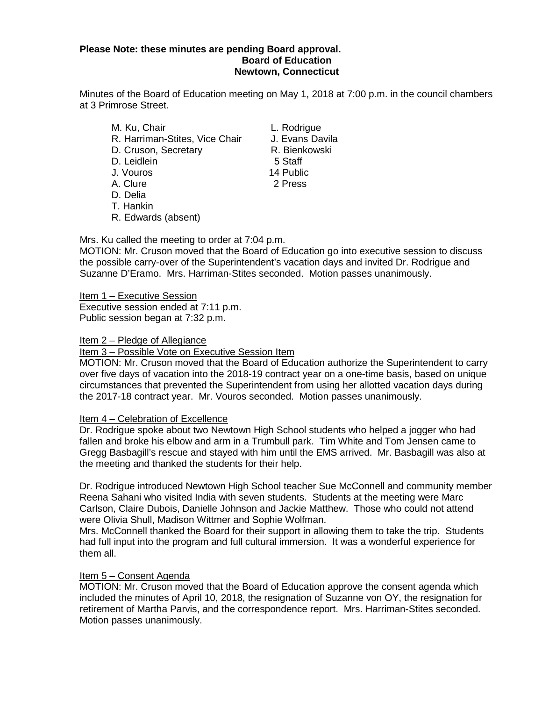### **Please Note: these minutes are pending Board approval. Board of Education Newtown, Connecticut**

Minutes of the Board of Education meeting on May 1, 2018 at 7:00 p.m. in the council chambers at 3 Primrose Street.

- M. Ku, Chair **L. Rodrigue** R. Harriman-Stites, Vice Chair J. Evans Davila D. Cruson, Secretary R. Bienkowski D. Leidlein 5 Staff J. Vouros 14 Public A. Clure 2 Press D. Delia T. Hankin
- R. Edwards (absent)

Mrs. Ku called the meeting to order at 7:04 p.m.

MOTION: Mr. Cruson moved that the Board of Education go into executive session to discuss the possible carry-over of the Superintendent's vacation days and invited Dr. Rodrigue and Suzanne D'Eramo. Mrs. Harriman-Stites seconded. Motion passes unanimously.

Item 1 – Executive Session Executive session ended at 7:11 p.m. Public session began at 7:32 p.m.

## Item 2 – Pledge of Allegiance

## Item 3 – Possible Vote on Executive Session Item

MOTION: Mr. Cruson moved that the Board of Education authorize the Superintendent to carry over five days of vacation into the 2018-19 contract year on a one-time basis, based on unique circumstances that prevented the Superintendent from using her allotted vacation days during the 2017-18 contract year. Mr. Vouros seconded. Motion passes unanimously.

# Item 4 – Celebration of Excellence

Dr. Rodrigue spoke about two Newtown High School students who helped a jogger who had fallen and broke his elbow and arm in a Trumbull park. Tim White and Tom Jensen came to Gregg Basbagill's rescue and stayed with him until the EMS arrived. Mr. Basbagill was also at the meeting and thanked the students for their help.

Dr. Rodrigue introduced Newtown High School teacher Sue McConnell and community member Reena Sahani who visited India with seven students. Students at the meeting were Marc Carlson, Claire Dubois, Danielle Johnson and Jackie Matthew. Those who could not attend were Olivia Shull, Madison Wittmer and Sophie Wolfman.

Mrs. McConnell thanked the Board for their support in allowing them to take the trip. Students had full input into the program and full cultural immersion. It was a wonderful experience for them all.

### Item 5 – Consent Agenda

MOTION: Mr. Cruson moved that the Board of Education approve the consent agenda which included the minutes of April 10, 2018, the resignation of Suzanne von OY, the resignation for retirement of Martha Parvis, and the correspondence report. Mrs. Harriman-Stites seconded. Motion passes unanimously.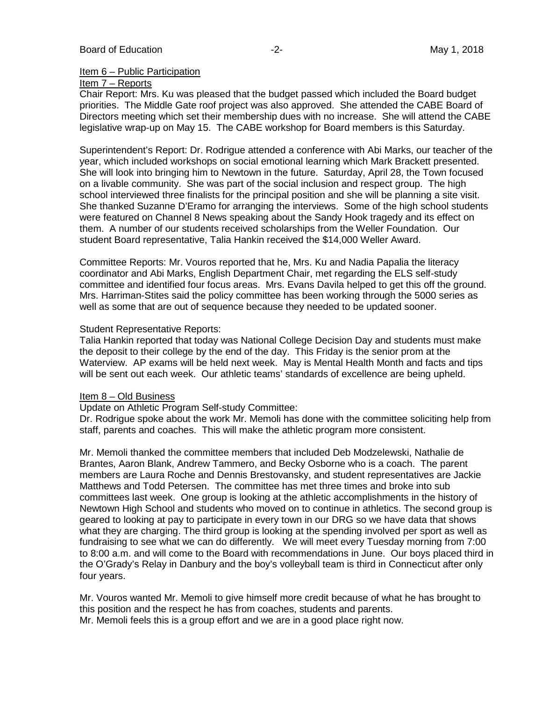#### Item 6 – Public Participation

## Item 7 – Reports

Chair Report: Mrs. Ku was pleased that the budget passed which included the Board budget priorities. The Middle Gate roof project was also approved. She attended the CABE Board of Directors meeting which set their membership dues with no increase. She will attend the CABE legislative wrap-up on May 15. The CABE workshop for Board members is this Saturday.

Superintendent's Report: Dr. Rodrigue attended a conference with Abi Marks, our teacher of the year, which included workshops on social emotional learning which Mark Brackett presented. She will look into bringing him to Newtown in the future. Saturday, April 28, the Town focused on a livable community. She was part of the social inclusion and respect group. The high school interviewed three finalists for the principal position and she will be planning a site visit. She thanked Suzanne D'Eramo for arranging the interviews. Some of the high school students were featured on Channel 8 News speaking about the Sandy Hook tragedy and its effect on them. A number of our students received scholarships from the Weller Foundation. Our student Board representative, Talia Hankin received the \$14,000 Weller Award.

Committee Reports: Mr. Vouros reported that he, Mrs. Ku and Nadia Papalia the literacy coordinator and Abi Marks, English Department Chair, met regarding the ELS self-study committee and identified four focus areas. Mrs. Evans Davila helped to get this off the ground. Mrs. Harriman-Stites said the policy committee has been working through the 5000 series as well as some that are out of sequence because they needed to be updated sooner.

### Student Representative Reports:

Talia Hankin reported that today was National College Decision Day and students must make the deposit to their college by the end of the day. This Friday is the senior prom at the Waterview. AP exams will be held next week. May is Mental Health Month and facts and tips will be sent out each week. Our athletic teams' standards of excellence are being upheld.

## Item 8 – Old Business

Update on Athletic Program Self-study Committee:

Dr. Rodrigue spoke about the work Mr. Memoli has done with the committee soliciting help from staff, parents and coaches. This will make the athletic program more consistent.

Mr. Memoli thanked the committee members that included Deb Modzelewski, Nathalie de Brantes, Aaron Blank, Andrew Tammero, and Becky Osborne who is a coach. The parent members are Laura Roche and Dennis Brestovansky, and student representatives are Jackie Matthews and Todd Petersen. The committee has met three times and broke into sub committees last week. One group is looking at the athletic accomplishments in the history of Newtown High School and students who moved on to continue in athletics. The second group is geared to looking at pay to participate in every town in our DRG so we have data that shows what they are charging. The third group is looking at the spending involved per sport as well as fundraising to see what we can do differently. We will meet every Tuesday morning from 7:00 to 8:00 a.m. and will come to the Board with recommendations in June. Our boys placed third in the O'Grady's Relay in Danbury and the boy's volleyball team is third in Connecticut after only four years.

Mr. Vouros wanted Mr. Memoli to give himself more credit because of what he has brought to this position and the respect he has from coaches, students and parents.

Mr. Memoli feels this is a group effort and we are in a good place right now.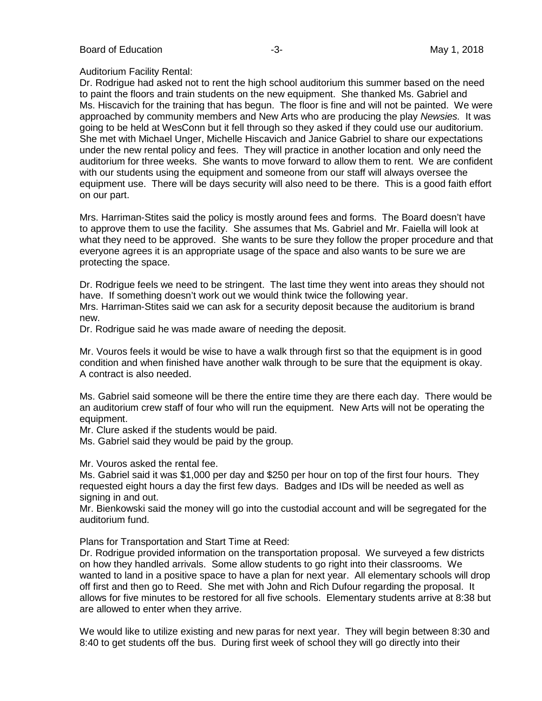#### Auditorium Facility Rental:

Dr. Rodrigue had asked not to rent the high school auditorium this summer based on the need to paint the floors and train students on the new equipment. She thanked Ms. Gabriel and Ms. Hiscavich for the training that has begun. The floor is fine and will not be painted. We were approached by community members and New Arts who are producing the play *Newsies.* It was going to be held at WesConn but it fell through so they asked if they could use our auditorium. She met with Michael Unger, Michelle Hiscavich and Janice Gabriel to share our expectations under the new rental policy and fees. They will practice in another location and only need the auditorium for three weeks. She wants to move forward to allow them to rent. We are confident with our students using the equipment and someone from our staff will always oversee the equipment use. There will be days security will also need to be there. This is a good faith effort on our part.

Mrs. Harriman-Stites said the policy is mostly around fees and forms. The Board doesn't have to approve them to use the facility. She assumes that Ms. Gabriel and Mr. Faiella will look at what they need to be approved. She wants to be sure they follow the proper procedure and that everyone agrees it is an appropriate usage of the space and also wants to be sure we are protecting the space.

Dr. Rodrigue feels we need to be stringent. The last time they went into areas they should not have. If something doesn't work out we would think twice the following year. Mrs. Harriman-Stites said we can ask for a security deposit because the auditorium is brand new.

Dr. Rodrigue said he was made aware of needing the deposit.

Mr. Vouros feels it would be wise to have a walk through first so that the equipment is in good condition and when finished have another walk through to be sure that the equipment is okay. A contract is also needed.

Ms. Gabriel said someone will be there the entire time they are there each day. There would be an auditorium crew staff of four who will run the equipment. New Arts will not be operating the equipment.

Mr. Clure asked if the students would be paid.

Ms. Gabriel said they would be paid by the group.

Mr. Vouros asked the rental fee.

Ms. Gabriel said it was \$1,000 per day and \$250 per hour on top of the first four hours. They requested eight hours a day the first few days. Badges and IDs will be needed as well as signing in and out.

Mr. Bienkowski said the money will go into the custodial account and will be segregated for the auditorium fund.

Plans for Transportation and Start Time at Reed:

Dr. Rodrigue provided information on the transportation proposal. We surveyed a few districts on how they handled arrivals. Some allow students to go right into their classrooms. We wanted to land in a positive space to have a plan for next year. All elementary schools will drop off first and then go to Reed. She met with John and Rich Dufour regarding the proposal. It allows for five minutes to be restored for all five schools. Elementary students arrive at 8:38 but are allowed to enter when they arrive.

We would like to utilize existing and new paras for next year. They will begin between 8:30 and 8:40 to get students off the bus. During first week of school they will go directly into their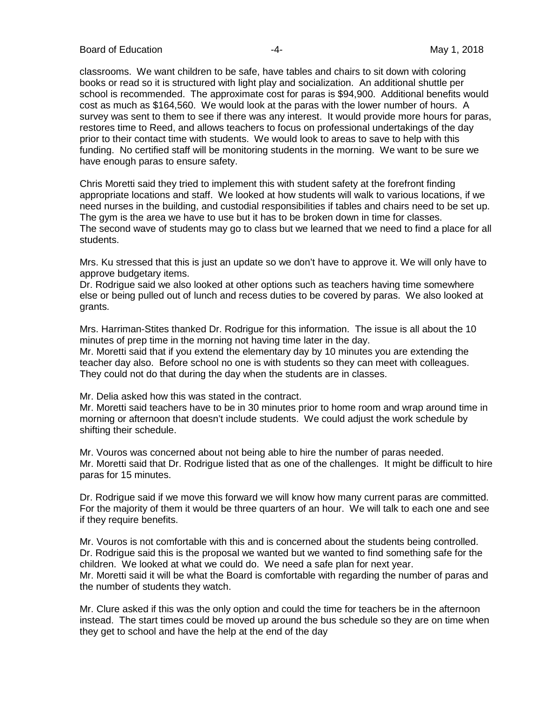Board of Education **-4-** All the set of the May 1, 2018

classrooms. We want children to be safe, have tables and chairs to sit down with coloring books or read so it is structured with light play and socialization. An additional shuttle per school is recommended. The approximate cost for paras is \$94,900. Additional benefits would cost as much as \$164,560. We would look at the paras with the lower number of hours. A survey was sent to them to see if there was any interest. It would provide more hours for paras, restores time to Reed, and allows teachers to focus on professional undertakings of the day prior to their contact time with students. We would look to areas to save to help with this funding. No certified staff will be monitoring students in the morning. We want to be sure we have enough paras to ensure safety.

Chris Moretti said they tried to implement this with student safety at the forefront finding appropriate locations and staff. We looked at how students will walk to various locations, if we need nurses in the building, and custodial responsibilities if tables and chairs need to be set up. The gym is the area we have to use but it has to be broken down in time for classes. The second wave of students may go to class but we learned that we need to find a place for all students.

Mrs. Ku stressed that this is just an update so we don't have to approve it. We will only have to approve budgetary items.

Dr. Rodrigue said we also looked at other options such as teachers having time somewhere else or being pulled out of lunch and recess duties to be covered by paras. We also looked at grants.

Mrs. Harriman-Stites thanked Dr. Rodrigue for this information. The issue is all about the 10 minutes of prep time in the morning not having time later in the day.

Mr. Moretti said that if you extend the elementary day by 10 minutes you are extending the teacher day also. Before school no one is with students so they can meet with colleagues. They could not do that during the day when the students are in classes.

Mr. Delia asked how this was stated in the contract.

Mr. Moretti said teachers have to be in 30 minutes prior to home room and wrap around time in morning or afternoon that doesn't include students. We could adjust the work schedule by shifting their schedule.

Mr. Vouros was concerned about not being able to hire the number of paras needed. Mr. Moretti said that Dr. Rodrigue listed that as one of the challenges. It might be difficult to hire paras for 15 minutes.

Dr. Rodrigue said if we move this forward we will know how many current paras are committed. For the majority of them it would be three quarters of an hour. We will talk to each one and see if they require benefits.

Mr. Vouros is not comfortable with this and is concerned about the students being controlled. Dr. Rodrigue said this is the proposal we wanted but we wanted to find something safe for the children. We looked at what we could do. We need a safe plan for next year. Mr. Moretti said it will be what the Board is comfortable with regarding the number of paras and the number of students they watch.

Mr. Clure asked if this was the only option and could the time for teachers be in the afternoon instead. The start times could be moved up around the bus schedule so they are on time when they get to school and have the help at the end of the day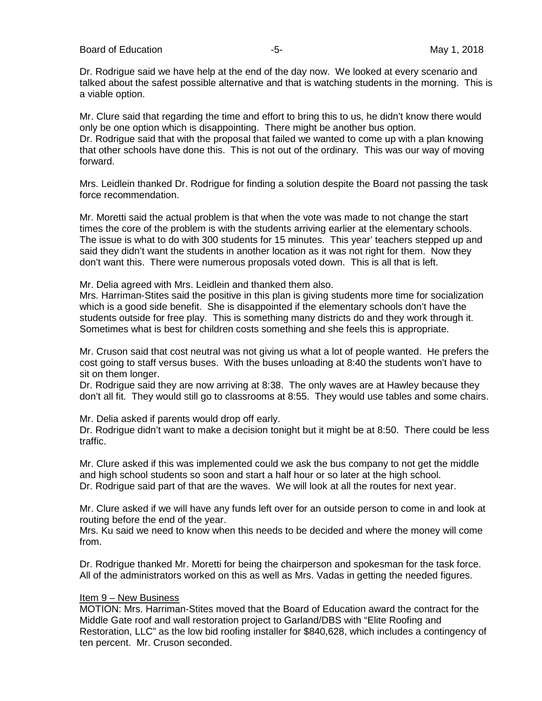Dr. Rodrigue said we have help at the end of the day now. We looked at every scenario and talked about the safest possible alternative and that is watching students in the morning. This is a viable option.

Mr. Clure said that regarding the time and effort to bring this to us, he didn't know there would only be one option which is disappointing. There might be another bus option. Dr. Rodrigue said that with the proposal that failed we wanted to come up with a plan knowing that other schools have done this. This is not out of the ordinary. This was our way of moving forward.

Mrs. Leidlein thanked Dr. Rodrigue for finding a solution despite the Board not passing the task force recommendation.

Mr. Moretti said the actual problem is that when the vote was made to not change the start times the core of the problem is with the students arriving earlier at the elementary schools. The issue is what to do with 300 students for 15 minutes. This year' teachers stepped up and said they didn't want the students in another location as it was not right for them. Now they don't want this. There were numerous proposals voted down. This is all that is left.

Mr. Delia agreed with Mrs. Leidlein and thanked them also.

Mrs. Harriman-Stites said the positive in this plan is giving students more time for socialization which is a good side benefit. She is disappointed if the elementary schools don't have the students outside for free play. This is something many districts do and they work through it. Sometimes what is best for children costs something and she feels this is appropriate.

Mr. Cruson said that cost neutral was not giving us what a lot of people wanted. He prefers the cost going to staff versus buses. With the buses unloading at 8:40 the students won't have to sit on them longer.

Dr. Rodrigue said they are now arriving at 8:38. The only waves are at Hawley because they don't all fit. They would still go to classrooms at 8:55. They would use tables and some chairs.

Mr. Delia asked if parents would drop off early.

Dr. Rodrigue didn't want to make a decision tonight but it might be at 8:50. There could be less traffic.

Mr. Clure asked if this was implemented could we ask the bus company to not get the middle and high school students so soon and start a half hour or so later at the high school. Dr. Rodrigue said part of that are the waves. We will look at all the routes for next year.

Mr. Clure asked if we will have any funds left over for an outside person to come in and look at routing before the end of the year.

Mrs. Ku said we need to know when this needs to be decided and where the money will come from.

Dr. Rodrigue thanked Mr. Moretti for being the chairperson and spokesman for the task force. All of the administrators worked on this as well as Mrs. Vadas in getting the needed figures.

#### Item 9 – New Business

MOTION: Mrs. Harriman-Stites moved that the Board of Education award the contract for the Middle Gate roof and wall restoration project to Garland/DBS with "Elite Roofing and Restoration, LLC" as the low bid roofing installer for \$840,628, which includes a contingency of ten percent. Mr. Cruson seconded.